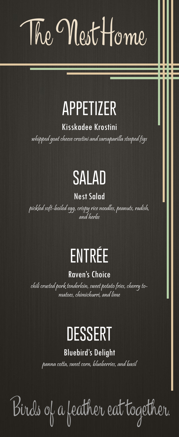The Nest Home

### **APPETIZER**

Kisskadee Krostini

whipped goat cheese crostini and sarsaparilla steeped figs

## **SALAD**

#### Nest Salad

pickled soft-boiled egg, crispy rice noodles, peanuts, radish, and herbs

## **ENTRÉE**

#### Raven's Choice

chili crusted pork tenderloin, sweet potato fries, cherry tomatoes, chimichurri, and lime

## **DESSERT**

#### Bluebird's Delight

panna cotta, sweet corn, blueberries, and basil

Birds of a feather eat together.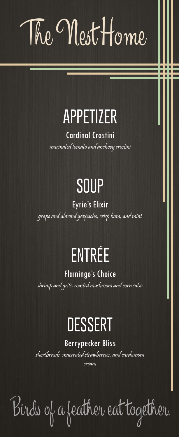The Nest Home

## **APPETIZER**

Cardinal Crostini

marinated tomato and anchovy crostini

## **SOUP**

#### Eyrie's Elixir

grape and almond gazpacho, crisp ham, and mint

## **ENTRÉE**

Flamingo's Choice

shrimp and grits, roasted mushroom and corn salsa

## **DESSERT**

#### Berrypecker Bliss

shortbreads, macerated strawberries, and cardamom cream

Birds of a feather eat together.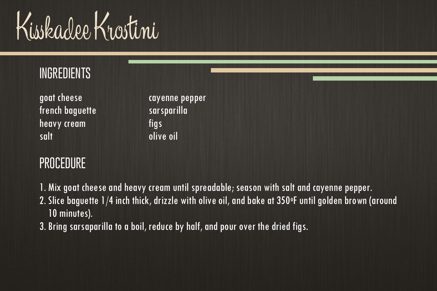Kisskadee Krostini

| cayenne pepper |
|----------------|
| sarsparilla    |
| fias           |
| olive oil      |
|                |

- 1. Mix goat cheese and heavy cream until spreadable; season with salt and cayenne pepper.
- 2. Slice baguette 1/4 inch thick, drizzle with olive oil, and bake at 350°F until golden brown (around 10 minutes).
- 3. Bring sarsaparilla to a boil, reduce by half, and pour over the dried figs.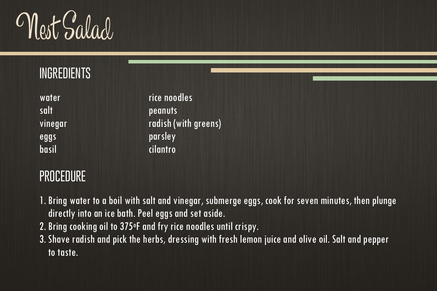Nest Salad

salt peanuts eggs parsley basil cilantro

water and the rice noodles vinegar radish (with greens)

- 1. Bring water to a boil with salt and vinegar, submerge eggs, cook for seven minutes, then plunge directly into an ice bath. Peel eggs and set aside.
- 2. Bring cooking oil to 375oF and fry rice noodles until crispy.
- 3. Shave radish and pick the herbs, dressing with fresh lemon juice and olive oil. Salt and pepper to taste.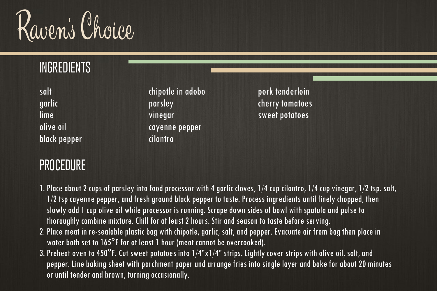

black pepper cilantro

#### garlic parsley cherry tomatoes lime vinegar sweet potatoes olive oil cayenne pepper

salt chipotle in adobo pork tenderloin

#### **PROCEDURE**

1. Place about 2 cups of parsley into food processor with 4 garlic cloves, 1/4 cup cilantro, 1/4 cup vinegar, 1/2 tsp. salt, 1/2 tsp cayenne pepper, and fresh ground black pepper to taste. Process ingredients until finely chopped, then slowly add 1 cup olive oil while processor is running. Scrape down sides of bowl with spatula and pulse to thoroughly combine mixture. Chill for at least 2 hours. Stir and season to taste before serving.

- 2. Place meat in re-sealable plastic bag with chipotle, garlic, salt, and pepper. Evacuate air from bag then place in water bath set to 165°F for at least 1 hour (meat cannot be overcooked).
- 3. Preheat oven to 450°F. Cut sweet potatoes into 1/4"x1/4" strips. Lightly cover strips with olive oil, salt, and pepper. Line baking sheet with parchment paper and arrange fries into single layer and bake for about 20 minutes or until tender and brown, turning occasionally.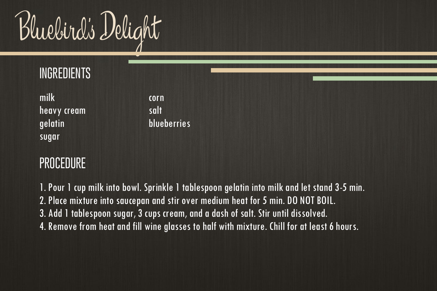Bluebird's Delight

| milk        | corn        |
|-------------|-------------|
| heavy cream | salt        |
| gelatin     | blueberries |
| sugar       |             |

#### **PROCEDURE**

1. Pour 1 cup milk into bowl. Sprinkle 1 tablespoon gelatin into milk and let stand 3-5 min. 2. Place mixture into saucepan and stir over medium heat for 5 min. DO NOT BOIL. 3. Add 1 tablespoon sugar, 3 cups cream, and a dash of salt. Stir until dissolved. 4. Remove from heat and fill wine glasses to half with mixture. Chill for at least 6 hours.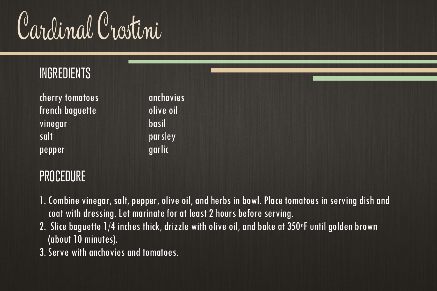Cardinal Crostini

| cherry tomatoes | anchovies |
|-----------------|-----------|
| french bagvette | olive oil |
| vinegar         | basil     |
| salt            | parsley   |
| pepper          | garlic    |

- 1. Combine vinegar, salt, pepper, olive oil, and herbs in bowl. Place tomatoes in serving dish and coat with dressing. Let marinate for at least 2 hours before serving.
- 2. Slice baguette 1/4 inches thick, drizzle with olive oil, and bake at 350°F until golden brown (about 10 minutes).
- 3. Serve with anchovies and tomatoes.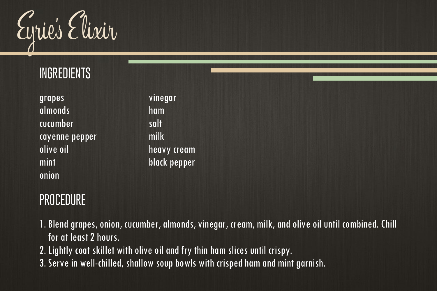Eyrie's E lixir

| grapes         | vine |
|----------------|------|
| almonds        | ham  |
| cucumber       | salt |
| cayenne pepper | milk |
| olive oil      | heav |
| mint           | blac |
| onion          |      |

vinegar heavy cream black pepper

- 1. Blend grapes, onion, cucumber, almonds, vinegar, cream, milk, and olive oil until combined. Chill for at least 2 hours.
- 2. Lightly coat skillet with olive oil and fry thin ham slices until crispy.
- 3. Serve in well-chilled, shallow soup bowls with crisped ham and mint garnish.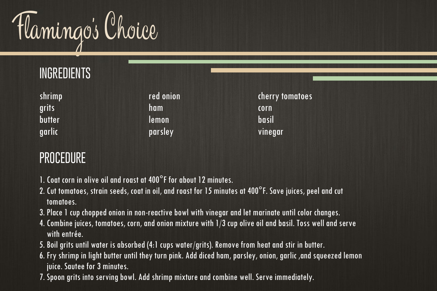

| shrimp        | red onion | cherry tomatoes |
|---------------|-----------|-----------------|
| grits         | ham       | corn            |
| <b>butter</b> | lemon     | basil           |
| garlic        | parsley   | vinegar         |

- 1. Coat corn in olive oil and roast at 400°F for about 12 minutes.
- 2. Cut tomatoes, strain seeds, coat in oil, and roast for 15 minutes at 400°F. Save juices, peel and cut tomatoes.
- 3. Place 1 cup chopped onion in non-reactive bowl with vinegar and let marinate until color changes.
- 4. Combine juices, tomatoes, corn, and onion mixture with 1/3 cup olive oil and basil. Toss well and serve with entrée.
- 5. Boil grits until water is absorbed (4:1 cups water/grits). Remove from heat and stir in butter.
- 6. Fry shrimp in light butter until they turn pink. Add diced ham, parsley, onion, garlic ,and squeezed lemon juice. Sautee for 3 minutes.
- 7. Spoon grits into serving bowl. Add shrimp mixture and combine well. Serve immediately.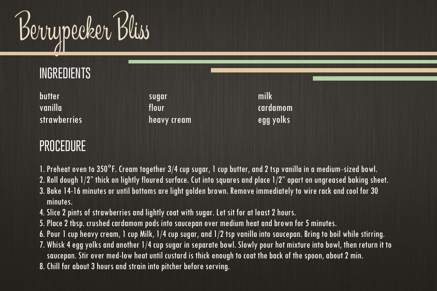

| butter              | sugar       | milk         |
|---------------------|-------------|--------------|
| vanilla             | flour.      | cardamom     |
| <b>strawberries</b> | heavy cream | , egg yolks! |

#### **PROCEDURE**

- 1. Preheat oven to 350°F. Cream together 3/4 cup sugar, 1 cup butter, and 2 tsp vanilla in a medium-sized bowl.
- 2. Roll dough 1/2" thick on lightly floured surface. Cut into squares and place 1/2" apart on ungreased baking sheet. 3. Bake 14-16 minutes or until bottoms are light golden brown. Remove immediately to wire rack and cool for 30

minutes.

- 4. Slice 2 pints of strawberries and lightly coat with sugar. Let sit for at least 2 hours.
- 5. Place 2 tbsp. crushed cardamom pods into saucepan over medium heat and brown for 5 minutes.
- 6. Pour 1 cup heavy cream, 1 cup Milk, 1/4 cup sugar, and 1/2 tsp vanilla into saucepan. Bring to boil while stirring.
- 7. Whisk 4 egg yolks and another 1/4 cup sugar in separate bowl. Slowly pour hot mixture into bowl, then return it to saucepan. Stir over med-low heat until custard is thick enough to coat the back of the spoon, about 2 min.
- 8. Chill for about 3 hours and strain into pitcher before serving.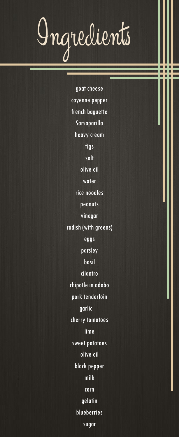# Ingredients

goat cheese cayenne pepper french baguette Sarsaparilla heavy cream figs salt olive oil water rice noodles peanuts vinegar radish (with greens) eggs parsley basil cilantro chipotle in adobo pork tenderloin garlic cherry tomatoes lime sweet potatoes olive oil black pepper milk corn gelatin blueberries sugar